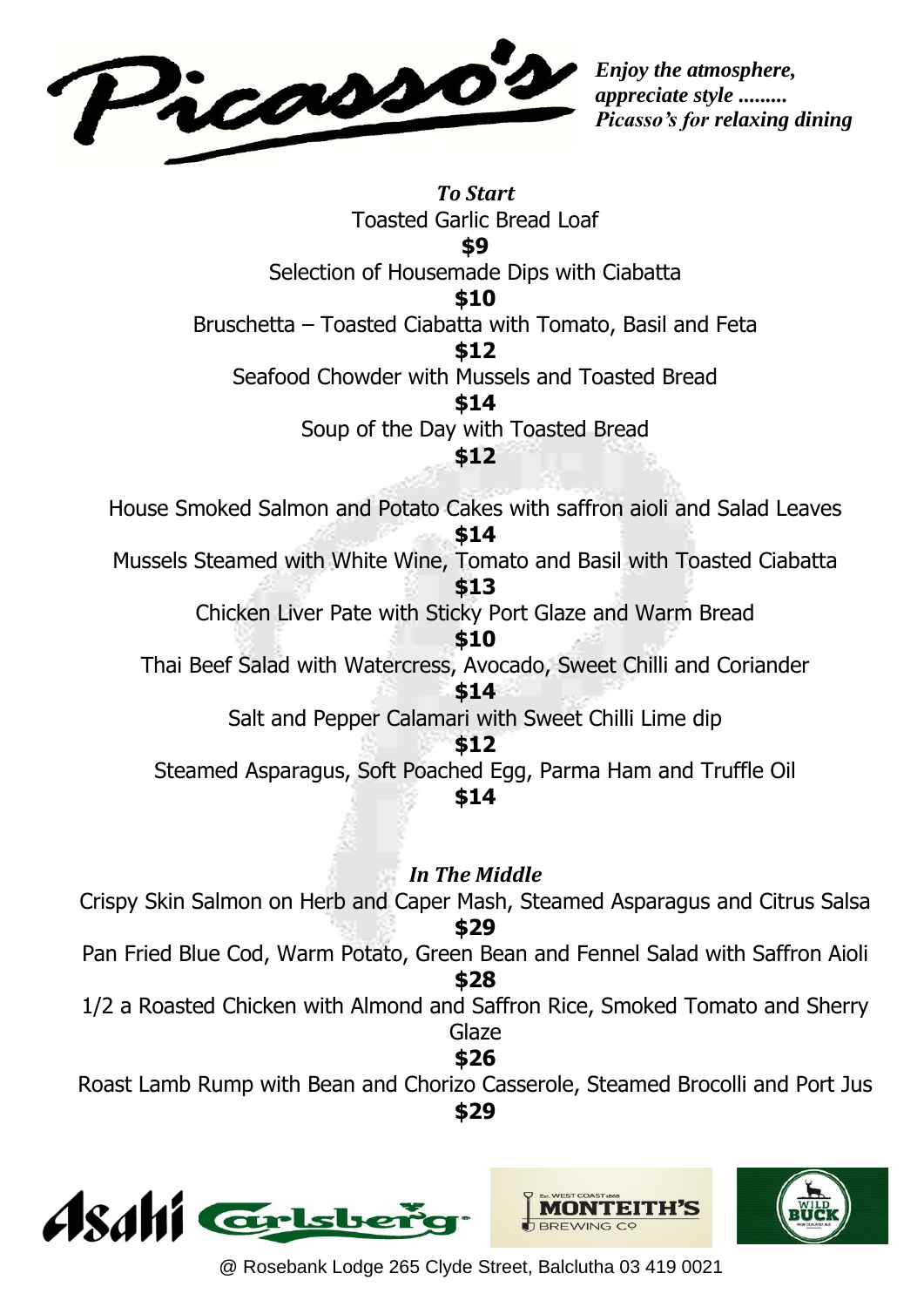

*Enjoy the atmosphere, appreciate style ......... Picasso's for relaxing dining*

*To Start* Toasted Garlic Bread Loaf **\$9** Selection of Housemade Dips with Ciabatta **\$10** Bruschetta – Toasted Ciabatta with Tomato, Basil and Feta **\$12** Seafood Chowder with Mussels and Toasted Bread **\$14** Soup of the Day with Toasted Bread **\$12** House Smoked Salmon and Potato Cakes with saffron aioli and Salad Leaves **\$14** Mussels Steamed with White Wine, Tomato and Basil with Toasted Ciabatta **\$13** Chicken Liver Pate with Sticky Port Glaze and Warm Bread **\$10** Thai Beef Salad with Watercress, Avocado, Sweet Chilli and Coriander **\$14** Salt and Pepper Calamari with Sweet Chilli Lime dip **\$12** Steamed Asparagus, Soft Poached Egg, Parma Ham and Truffle Oil **\$14** *In The Middle* Crispy Skin Salmon on Herb and Caper Mash, Steamed Asparagus and Citrus Salsa **\$29** Pan Fried Blue Cod, Warm Potato, Green Bean and Fennel Salad with Saffron Aioli **\$28** 1/2 a Roasted Chicken with Almond and Saffron Rice, Smoked Tomato and Sherry Glaze **\$26**

Roast Lamb Rump with Bean and Chorizo Casserole, Steamed Brocolli and Port Jus **\$29**